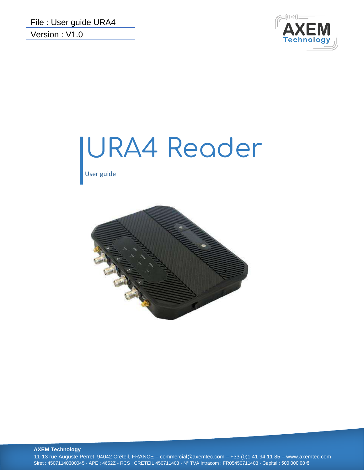

# URA4 Reader

User guide



**AXEM Technology**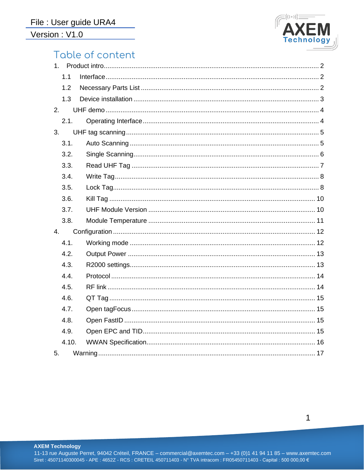

# Table of content

|    | 1.1   |  |
|----|-------|--|
|    | 1.2   |  |
|    | 1.3   |  |
| 2. |       |  |
|    | 2.1.  |  |
| 3. |       |  |
|    | 3.1.  |  |
|    | 3.2.  |  |
|    | 3.3.  |  |
|    | 3.4.  |  |
|    | 3.5.  |  |
|    | 3.6.  |  |
|    | 3.7.  |  |
|    | 3.8.  |  |
| 4. |       |  |
|    | 4.1.  |  |
|    | 4.2.  |  |
|    | 4.3.  |  |
|    | 4.4.  |  |
|    | 4.5.  |  |
|    | 4.6.  |  |
|    | 4.7.  |  |
|    | 4.8.  |  |
|    | 4.9.  |  |
|    | 4.10. |  |
| 5. |       |  |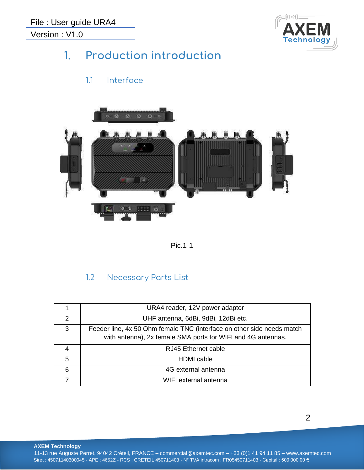

# <span id="page-2-0"></span>**1. Production introduction**

## 1.1 Interface

<span id="page-2-1"></span>



#### 1.2 Necessary Parts List

<span id="page-2-2"></span>

|   | URA4 reader, 12V power adaptor                                                                                                         |
|---|----------------------------------------------------------------------------------------------------------------------------------------|
| 2 | UHF antenna, 6dBi, 9dBi, 12dBi etc.                                                                                                    |
| 3 | Feeder line, 4x 50 Ohm female TNC (interface on other side needs match<br>with antenna), 2x female SMA ports for WIFI and 4G antennas. |
|   | RJ45 Ethernet cable                                                                                                                    |
| 5 | <b>HDMI</b> cable                                                                                                                      |
| 6 | 4G external antenna                                                                                                                    |
|   | WIFI external antenna                                                                                                                  |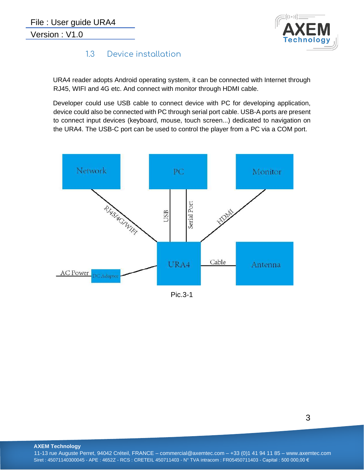

#### 1.3 Device installation

<span id="page-3-0"></span>URA4 reader adopts Android operating system, it can be connected with Internet through RJ45, WIFI and 4G etc. And connect with monitor through HDMI cable.

Developer could use USB cable to connect device with PC for developing application, device could also be connected with PC through serial port cable. USB-A ports are present to connect input devices (keyboard, mouse, touch screen...) dedicated to navigation on the URA4. The USB-C port can be used to control the player from a PC via a COM port.



Pic.3-1

3

**AXEM Technology**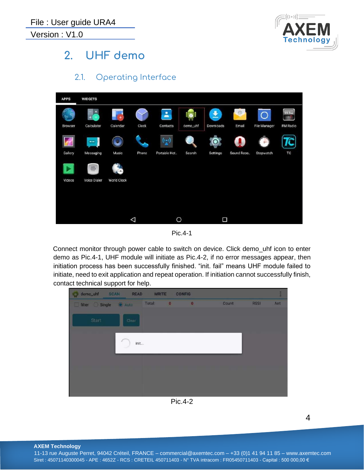

# <span id="page-4-0"></span>**2. UHF demo**

2.1. Operating Interface

<span id="page-4-1"></span>

Pic.4-1

Connect monitor through power cable to switch on device. Click demo\_uhf icon to enter demo as Pic.4-1, UHF module will initiate as Pic.4-2, if no error messages appear, then initiation process has been successfully finished. "init. fail" means UHF module failed to initiate, need to exit application and repeat operation. If initiation cannot successfully finish, contact technical support for help.



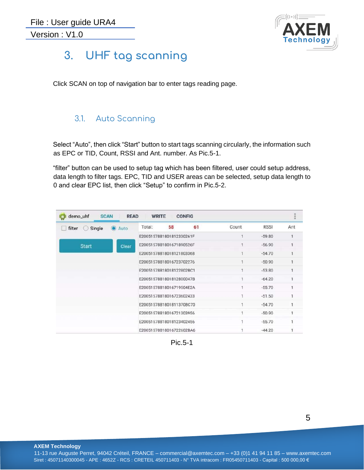

# <span id="page-5-0"></span>**3. UHF tag scanning**

Click SCAN on top of navigation bar to enter tags reading page.

#### <span id="page-5-1"></span>3.1. Auto Scanning

Select "Auto", then click "Start" button to start tags scanning circularly, the information such as EPC or TID, Count, RSSI and Ant. number. As Pic.5-1.

"filter" button can be used to setup tag which has been filtered, user could setup address, data length to filter tags. EPC, TID and USER areas can be selected, setup data length to 0 and clear EPC list, then click "Setup" to confirm in Pic.5-2.

| demo_uhf<br><b>SCAN</b> | <b>READ</b> | <b>WRITE</b>                                         |    | <b>CONFIG</b> |             |             |     |
|-------------------------|-------------|------------------------------------------------------|----|---------------|-------------|-------------|-----|
| Single<br>filter        | Auto        | Total:                                               | 58 | 61            | Count       | <b>RSSI</b> | Ant |
|                         |             | E2005157881801812330261F                             |    |               | h           | $-59.80$    | 1   |
| <b>Start</b>            | Clear       | E2005157881801671890526F                             |    |               |             | $-56.90$    |     |
|                         |             | E20051578818018121803368                             |    |               |             | $-54.70$    |     |
|                         |             | E20051578818016723702276<br>E20051578818018122802BC1 |    |               |             | $-50.90$    |     |
|                         |             |                                                      |    |               | ۹           | $-53.80$    |     |
|                         |             | E2005157881801812800047B                             |    |               | $\mathbf 1$ | $-64.20$    | 1   |
|                         |             | E20051578818016719504E2A                             |    |               | ۹           | $-55.70$    |     |
|                         |             | E20051578818016723602433                             |    |               |             | $-51.50$    |     |
|                         |             | E20051578818018113708C70                             |    |               |             | $-54.70$    |     |
|                         |             | E20051578818016721303956                             |    |               |             | $-50.90$    |     |
|                         |             | E20051578818018123402456                             |    |               |             | $-55.70$    |     |
|                         |             | E20051578818016722602BA6                             |    |               |             | $-44.20$    |     |

Pic.5-1

**AXEM Technology**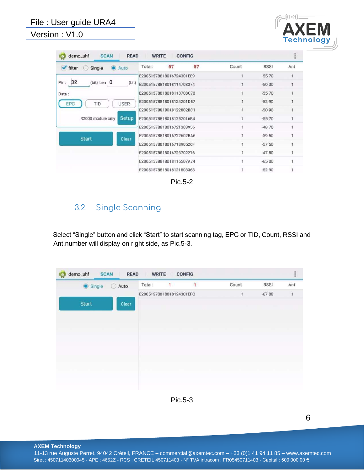#### File : User guide URA4

Version : V1.0



| demo_uhf<br><b>SCAN</b><br><b>READ</b><br><b>WRITE</b><br><b>CONFIG</b> |                          |    |       |             |     |  |  |
|-------------------------------------------------------------------------|--------------------------|----|-------|-------------|-----|--|--|
| $\blacktriangleright$ filter<br>Single<br>Auto                          | 57<br>Total:             | 57 | Count | <b>RSSI</b> | Ant |  |  |
|                                                                         | E20051578818016724301EE9 |    |       | $-55.70$    |     |  |  |
| 32<br>(bit) Len $0$<br>Ptr:<br>(bit)                                    | E20051578818018114708374 |    | Ŧ     | $-50.30$    |     |  |  |
| Data:                                                                   | E20051578818018113708C70 |    |       | $-55.70$    |     |  |  |
| <b>USER</b><br>TID<br>EPC                                               | E20051578818018124201D57 |    | 1     | $-52.90$    |     |  |  |
|                                                                         | E20051578818018122802BC1 |    |       | $-50.90$    |     |  |  |
| <b>Setup</b><br>R2000 module only                                       | E200515788180181252016B4 |    |       | $-55.70$    |     |  |  |
|                                                                         | E20051578818016721303956 |    |       | $-48.70$    |     |  |  |
| <b>Start</b><br>Clear                                                   | E20051578818016722602BA6 |    |       | $-39.50$    |     |  |  |
|                                                                         | E2005157881801671890526F |    |       | $-57.50$    |     |  |  |
|                                                                         | E20051578818016723702276 |    |       | $-47.80$    |     |  |  |
|                                                                         | E20051578818018115507A74 |    |       | $-65.00$    |     |  |  |
|                                                                         | E20051578818018121803368 |    |       | $-52.90$    |     |  |  |

|--|

## <span id="page-6-0"></span>3.2. Single Scanning

Select "Single" button and click "Start" to start scanning tag, EPC or TID, Count, RSSI and Ant.number will display on right side, as Pic.5-3.

| demo_uhf<br><b>SCAN</b> | <b>READ</b> | <b>WRITE</b> |                          | <b>CONFIG</b> |              |             |                |
|-------------------------|-------------|--------------|--------------------------|---------------|--------------|-------------|----------------|
| Single                  | Auto        | Total:       | $\mathbf{1}$             | 1             | Count        | <b>RSSI</b> | Ant            |
|                         |             |              | E20051578818018124301EFC |               | $\mathbf{1}$ | $-67.80$    | $\overline{1}$ |
| <b>Start</b>            | Clear       |              |                          |               |              |             |                |
|                         |             |              |                          |               |              |             |                |
|                         |             |              |                          |               |              |             |                |
|                         |             |              |                          |               |              |             |                |
|                         |             |              |                          |               |              |             |                |
|                         |             |              |                          |               |              |             |                |
|                         |             |              |                          |               |              |             |                |
|                         |             |              |                          |               |              |             |                |
|                         |             |              |                          |               |              |             |                |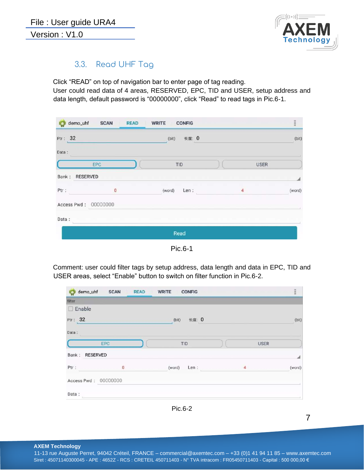

#### 3.3. Read UHF Tag

<span id="page-7-0"></span>Click "READ" on top of navigation bar to enter page of tag reading. User could read data of 4 areas, RESERVED, EPC, TID and USER, setup address and data length, default password is "00000000", click "Read" to read tags in Pic.6-1.

|                      |     | demo_uhf SCAN READ WRITE CONFIG |             | $\frac{1}{2}$ |
|----------------------|-----|---------------------------------|-------------|---------------|
| Ptr: 32              |     | (bit)<br>长度: 0                  |             | (bit)         |
| Data:                |     |                                 |             |               |
|                      | EPC | TID                             | <b>USER</b> |               |
| Bank: RESERVED       |     |                                 |             | ◢             |
| Ptr:                 | O   | (word) Len :                    | 4           | (word)        |
| Access Pwd: 00000000 |     |                                 |             |               |
| Data:                |     |                                 |             |               |
|                      |     | Read                            |             |               |

Pic.6-1

Comment: user could filter tags by setup address, data length and data in EPC, TID and USER areas, select "Enable" button to switch on filter function in Pic.6-2.

|                | demo_uhf SCAN READ WRITE CONFIG |       |              |             | m      |
|----------------|---------------------------------|-------|--------------|-------------|--------|
| filter         |                                 |       |              |             |        |
| $\Box$ Enable  |                                 |       |              |             |        |
| Ptr: 32        |                                 | (bit) | 长度: 0        |             | (bit)  |
| Data:          |                                 |       |              |             |        |
|                | EPC                             | TID   |              | <b>USER</b> |        |
| Bank: RESERVED |                                 |       |              |             | 4      |
| Ptr:           | $\mathbf{0}$                    |       | (word) Len : | 4           | (word) |
|                | Access Pwd: 00000000            |       |              |             |        |
| Data:          |                                 |       |              |             |        |

Pic.6-2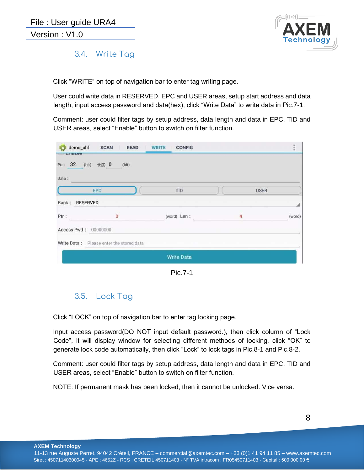

#### <span id="page-8-0"></span>3.4. Write Tag

Click "WRITE" on top of navigation bar to enter tag writing page.

User could write data in RESERVED, EPC and USER areas, setup start address and data length, input access password and data(hex), click "Write Data" to write data in Pic.7-1.

Comment: user could filter tags by setup address, data length and data in EPC, TID and USER areas, select "Enable" button to switch on filter function.

| <b>Lilaule</b>       | demo_uhf SCAN READ                       | WRITE<br><b>CONFIG</b> |             |        |
|----------------------|------------------------------------------|------------------------|-------------|--------|
|                      | Ptr: 32 (bit) 长度 0 (bit)                 |                        |             |        |
| Data:                |                                          |                        |             |        |
|                      | EPC                                      | <b>TID</b>             | <b>USER</b> |        |
| Bank: RESERVED       |                                          |                        |             |        |
| Ptr:                 | 0                                        | (word) Len :           | 4           | (word) |
| Access Pwd: 00000000 |                                          |                        |             |        |
|                      | Write Data: Please enter the stored data |                        |             |        |
|                      |                                          | <b>Write Data</b>      |             |        |

Pic.7-1

## 3.5. Lock Tag

<span id="page-8-1"></span>Click "LOCK" on top of navigation bar to enter tag locking page.

Input access password(DO NOT input default password.), then click column of "Lock Code", it will display window for selecting different methods of locking, click "OK" to generate lock code automatically, then click "Lock" to lock tags in Pic.8-1 and Pic.8-2.

Comment: user could filter tags by setup address, data length and data in EPC, TID and USER areas, select "Enable" button to switch on filter function.

NOTE: If permanent mask has been locked, then it cannot be unlocked. Vice versa.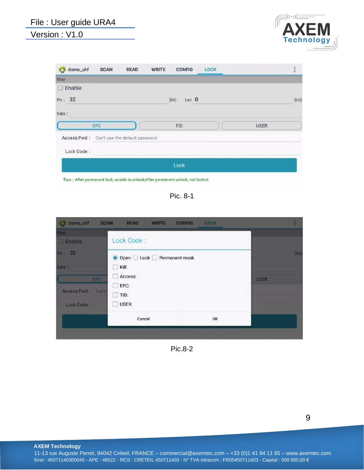# File : User guide URA4

#### Version : V1.0



| demo_uhf<br>O            | <b>SCAN</b>                                | <b>READ</b>                                                                                     | <b>WRITE</b><br><b>CONFIG</b>                                                      | <b>LOCK</b> |             | $\frac{1}{2}$ |
|--------------------------|--------------------------------------------|-------------------------------------------------------------------------------------------------|------------------------------------------------------------------------------------|-------------|-------------|---------------|
| filter                   |                                            |                                                                                                 |                                                                                    |             |             |               |
| Enable<br>w              |                                            |                                                                                                 |                                                                                    |             |             |               |
| Ptr: 32                  |                                            |                                                                                                 | Len $0$<br>(bit)                                                                   |             |             | (bit)         |
| Data:                    |                                            |                                                                                                 |                                                                                    |             |             |               |
|                          |                                            |                                                                                                 |                                                                                    |             |             |               |
|                          | EPC                                        |                                                                                                 | TID                                                                                |             | <b>USER</b> |               |
|                          | Access Pwd: Can't use the default password |                                                                                                 |                                                                                    |             |             |               |
| Lock Code:               |                                            |                                                                                                 |                                                                                    |             |             |               |
|                          |                                            |                                                                                                 | Lock                                                                               |             |             |               |
| the property of the con- |                                            | the contract of the contract of the contract of the contract of the contract of the contract of | the state of the company's product to the control of the control of the control of |             |             |               |

Tips : After permanent lock, unable to unlock;After permanent unlock, not locked

Pic. 8-1

| <b>IC</b> I demo_uhf<br><b>SCAN</b>                                                          | READ<br><b>WRITE</b>                                                                                           | <b>CONFIG</b><br><b>LOCK</b> |             |     |
|----------------------------------------------------------------------------------------------|----------------------------------------------------------------------------------------------------------------|------------------------------|-------------|-----|
| filter<br>$\Box$ Enable<br>Ptr: 32<br>Data:<br><b>EPC</b><br>Access Pwd: Can't<br>Lock Code: | Lock Code:<br>● Open ○ Lock □ Permanent mask<br>Kill:<br>$\sim$<br>Access:<br>EPC:<br>TID:<br>L.<br>USER:<br>m |                              | <b>USER</b> | (b) |
|                                                                                              | Cancel                                                                                                         | OK                           |             |     |
|                                                                                              |                                                                                                                |                              |             |     |

Pic.8-2

**AXEM Technology**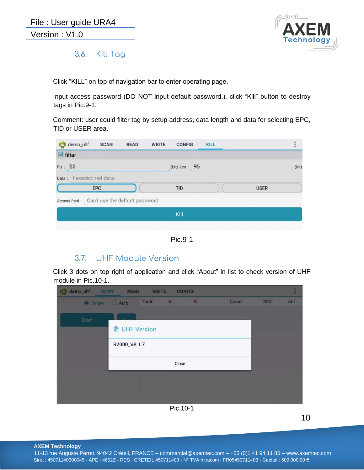

<span id="page-10-0"></span>3.6. Kill Tag

Click "KILL" on top of navigation bar to enter operating page.

Input access password (DO NOT input default password.), click "Kill" button to destroy tags in Pic.9-1.

Comment: user could filter tag by setup address, data length and data for selecting EPC, TID or USER area.

| demo_uhf               | <b>SCAN</b>                                | <b>READ</b> | <b>WRITE</b><br><b>CONFIG</b> | <b>KILL</b> |             |       |
|------------------------|--------------------------------------------|-------------|-------------------------------|-------------|-------------|-------|
| $\blacksquare$ filter  |                                            |             |                               |             |             |       |
| Ptr: 32                |                                            |             | (bit) Len : 96                |             |             | (bit) |
| Data: hexadecimal data |                                            |             |                               |             |             |       |
|                        | EPC                                        |             | <b>TID</b>                    |             | <b>USER</b> |       |
|                        | Access Pwd: Can't use the default password |             |                               |             |             |       |
|                        |                                            |             | Kill                          |             |             |       |
|                        |                                            |             |                               |             |             |       |

Pic.9-1

#### 3.7. UHF Module Version

<span id="page-10-1"></span>Click 3 dots on top right of application and click "About" in list to check version of UHF module in Pic.10-1.

| demo_uhf<br><b>SCAN</b><br>i di | <b>READ</b>  | <b>WRITE</b> |                         | <b>CONFIG</b> |       |             | E   |
|---------------------------------|--------------|--------------|-------------------------|---------------|-------|-------------|-----|
| Single                          | Auto         | Total:       | $\overline{\mathbf{0}}$ | $\mathbf{0}$  | Count | <b>RSSI</b> | Ant |
|                                 |              |              |                         |               |       |             |     |
| Start                           | UHF Version  |              |                         |               |       |             |     |
|                                 | R2000_V8.1.7 |              |                         |               |       |             |     |
|                                 |              |              | Close                   |               |       |             |     |
|                                 |              |              |                         |               |       |             |     |
|                                 |              |              |                         |               |       |             |     |
|                                 |              |              | Pic.10-1                |               |       |             |     |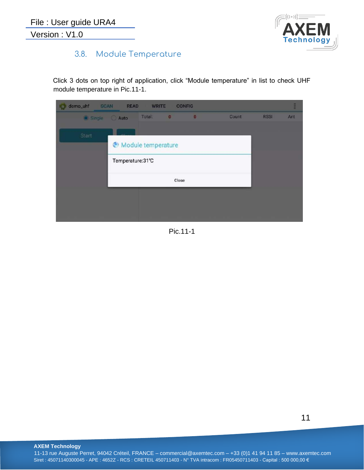

## <span id="page-11-0"></span>3.8. Module Temperature

Click 3 dots on top right of application, click "Module temperature" in list to check UHF module temperature in Pic.11-1.

| demo_uhf<br><b>SCAN</b> | READ                                   | <b>WRITE</b> |                          | <b>CONFIG</b> |       |             | H    |
|-------------------------|----------------------------------------|--------------|--------------------------|---------------|-------|-------------|------|
| Single                  | Auto                                   | Total:       | $\overline{\phantom{a}}$ | $\mathbf{0}$  | Count | <b>RSSI</b> | Ant. |
| Start                   | Module temperature<br>Temperature:31°C |              |                          |               |       |             |      |
|                         |                                        |              | Close                    |               |       |             |      |
|                         |                                        |              |                          |               |       |             |      |

Pic.11-1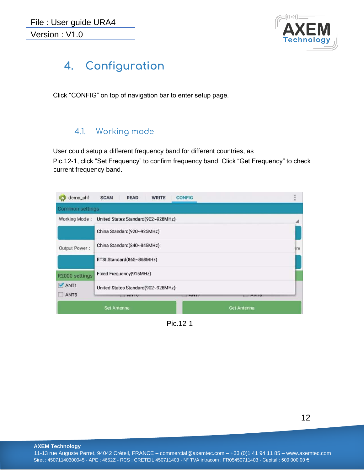

# <span id="page-12-0"></span>**4. Configuration**

Click "CONFIG" on top of navigation bar to enter setup page.

#### 4.1. Working mode

<span id="page-12-1"></span>User could setup a different frequency band for different countries, as Pic.12-1, click "Set Frequency" to confirm frequency band. Click "Get Frequency" to check current frequency band.

| demo_uhf         | <b>SCAN</b><br><b>READ</b><br><b>WRITE</b><br><b>CONFIG</b>                          | 開開業 |
|------------------|--------------------------------------------------------------------------------------|-----|
| Common settings  |                                                                                      |     |
| Working Mode:    | United States Standard(902~928MHz)                                                   |     |
|                  | China Standard(920~925MHz)                                                           |     |
| Output Power:    | China Standard(840~845MHz)                                                           | 3m  |
|                  | ETSI Standard(865~868MHz)                                                            |     |
| R2000 settings   | Fixed Frequency(915MHz)                                                              |     |
| $M$ ANT1<br>ANT5 | United States Standard (902~928MHz)<br><b>MIVTU</b><br><b>PATY T</b><br><b>MITTO</b> |     |
|                  | <b>Get Antenna</b><br>Set Antenna                                                    |     |

Pic.12-1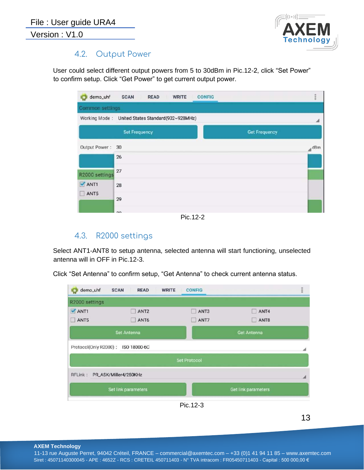

#### 4.2. Output Power

<span id="page-13-0"></span>User could select different output powers from 5 to 30dBm in Pic.12-2, click "Set Power" to confirm setup. Click "Get Power" to get current output power.

| demo_uhf                                         | <b>SCAN</b>          | <b>READ</b> | <b>WRITE</b> | <b>CONFIG</b> |                      | HHH |
|--------------------------------------------------|----------------------|-------------|--------------|---------------|----------------------|-----|
| Common settings                                  |                      |             |              |               |                      |     |
| Working Mode: United States Standard(902~928MHz) |                      |             |              |               |                      |     |
|                                                  | <b>Set Frequency</b> |             |              |               | <b>Get Frequency</b> |     |
| Output Power:                                    | 30                   |             |              |               |                      | dBm |
|                                                  | 26                   |             |              |               |                      |     |
| R2000 settings                                   | 27                   |             |              |               |                      |     |
| ANT1                                             | 28                   |             |              |               |                      |     |
| ANT5<br><b>All</b>                               | 29                   |             |              |               |                      |     |
|                                                  | 20                   |             |              |               |                      |     |

Pic.12-2

#### 4.3. R2000 settings

<span id="page-13-1"></span>Select ANT1-ANT8 to setup antenna, selected antenna will start functioning, unselected antenna will in OFF in Pic.12-3.

Click "Set Antenna" to confirm setup, "Get Antenna" to check current antenna status.

| demo_uhf<br><b>IQ</b> | <b>SCAN</b><br><b>READ</b> | <b>WRITE</b><br><b>CONFIG</b> |                     |  |
|-----------------------|----------------------------|-------------------------------|---------------------|--|
| R2000 settings        |                            |                               |                     |  |
| ANT1                  | ANT <sub>2</sub>           | ANT3                          | ANT4<br>o           |  |
| ANT5                  | ANT6                       | ANT7<br>w                     | ANT8<br>U           |  |
|                       | Set Antenna                |                               | <b>Get Antenna</b>  |  |
| Protocol(Only R2000): | ISO 18000-6C               |                               |                     |  |
|                       |                            | <b>Set Protocol</b>           |                     |  |
| RFLink:               | PR_ASK/Miller4/250KHz      |                               |                     |  |
|                       | Set link parameters        |                               | Get link parameters |  |
|                       |                            | Pic.12-3                      |                     |  |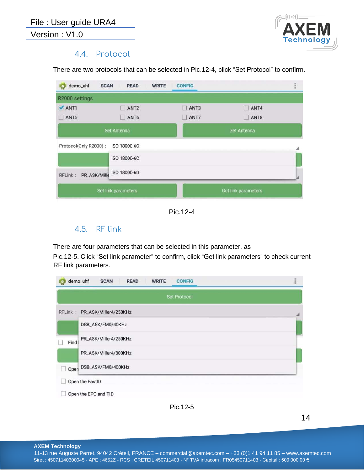

#### 4.4. Protocol

<span id="page-14-0"></span>There are two protocols that can be selected in Pic.12-4, click "Set Protocol" to confirm.

| <b>SCAN</b><br><b>READ</b>            | <b>CONFIG</b> |                     |  |
|---------------------------------------|---------------|---------------------|--|
|                                       |               |                     |  |
| ANT <sub>2</sub><br>m                 | ANT3          | ANT4<br>ïΙ          |  |
| ANT6<br>u                             | ANT7          | ANT8<br>Ħ           |  |
| Set Antenna                           |               | Get Antenna         |  |
| Protocol(Only R2000):<br>ISO 18000-6C |               |                     |  |
| ISO 18000-6C                          |               |                     |  |
| ISO 18000-6D<br>PR_ASK/Mille          |               |                     |  |
| Set link parameters                   |               | Get link parameters |  |
|                                       |               | <b>WRITE</b>        |  |

Pic.12-4

#### 4.5. RF link

<span id="page-14-1"></span>There are four parameters that can be selected in this parameter, as

Pic.12-5. Click "Set link parameter" to confirm, click "Get link parameters" to check current RF link parameters.

|         | <b>Set Protocol</b>     |  |
|---------|-------------------------|--|
| RFLink: | PR_ASK/Miller4/250KHz   |  |
|         | DSB_ASK/FM0/40KHz       |  |
| Find    | PR_ASK/Miller4/250KHz   |  |
|         | PR_ASK/Miller4/300KHz   |  |
|         | Open DSB_ASK/FM0/400KHz |  |
|         | Open the FastID         |  |

Pic.12-5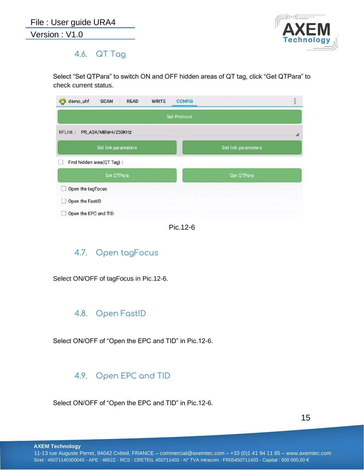

#### <span id="page-15-0"></span>4.6. QT Tag

Select "Set QTPara" to switch ON and OFF hidden areas of QT tag, click "Get QTPara" to check current status.

| demo_uhf<br><b>SCAN</b><br><b>READ</b><br><b>WRITE</b> | <b>HER</b><br><b>CONFIG</b> |  |  |  |
|--------------------------------------------------------|-----------------------------|--|--|--|
|                                                        | <b>Set Protocol</b>         |  |  |  |
| PR_ASK/Miller4/250KHz<br>RFLink:                       |                             |  |  |  |
| Set link parameters                                    | Get link parameters         |  |  |  |
| Find hidden area(QT Tag):                              |                             |  |  |  |
| Set QTPara                                             | Get QTPara                  |  |  |  |
| Open the tagFocus                                      |                             |  |  |  |
| Open the FastID                                        |                             |  |  |  |
| Open the EPC and TID                                   |                             |  |  |  |

Pic.12-6

## <span id="page-15-1"></span>4.7. Open tagFocus

Select ON/OFF of tagFocus in Pic.12-6.

#### <span id="page-15-2"></span>4.8. Open FastID

Select ON/OFF of "Open the EPC and TID" in Pic.12-6.

#### <span id="page-15-3"></span>4.9. Open EPC and TID

Select ON/OFF of "Open the EPC and TID" in Pic.12-6.

15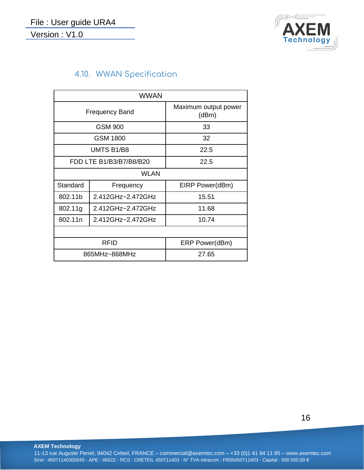

## 4.10. WWAN Specification

<span id="page-16-0"></span>

| <b>WWAN</b> |                         |                               |  |  |
|-------------|-------------------------|-------------------------------|--|--|
|             | <b>Frequency Band</b>   | Maximum output power<br>(dBm) |  |  |
|             | <b>GSM 900</b>          | 33                            |  |  |
|             | GSM 1800                | 32                            |  |  |
|             | UMTS B1/B8              | 22.5                          |  |  |
|             | FDD LTE B1/B3/B7/B8/B20 | 22.5                          |  |  |
|             | <b>WLAN</b>             |                               |  |  |
| Standard    | Frequency               | EIRP Power(dBm)               |  |  |
| 802.11b     | 2.412GHz~2.472GHz       | 15.51                         |  |  |
| 802.11g     | 2.412GHz~2.472GHz       | 11.68                         |  |  |
| 802.11n     | 2.412GHz~2.472GHz       | 10.74                         |  |  |
|             |                         |                               |  |  |
|             | <b>RFID</b>             | ERP Power(dBm)                |  |  |
|             | 865MHz~868MHz           | 27.65                         |  |  |